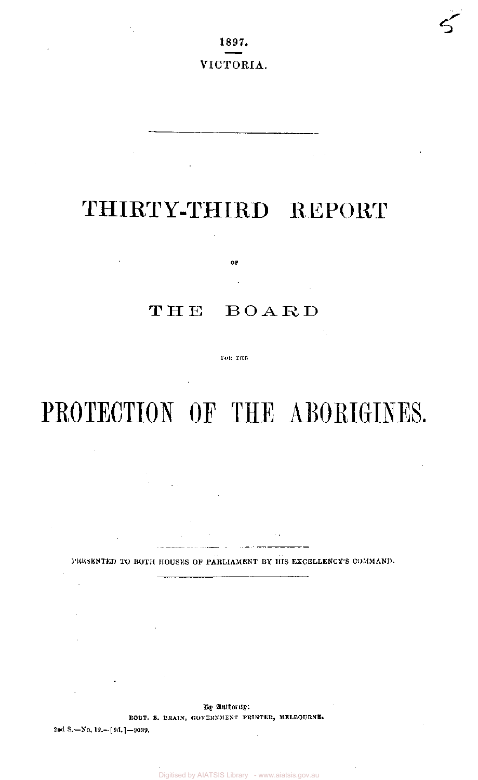1897. VICTORIA.

# THIRTY-THIRD REPORT

 $\Delta \sim 0.5$ 

## THE BOARD

0P

FOR THE

# PROTECTION OF THE ABORIGINES.

PRESENTED TO BOTH HOUSES OF PARLIAMENT BY HIS EXCELLENCY'S COMMAND.

By Authority:

ROBT. S. BRAIN, GOVERNMENT PRINTER, MELBOURNE.

2nd S.—No. 12.— $[9d.]$ —9039.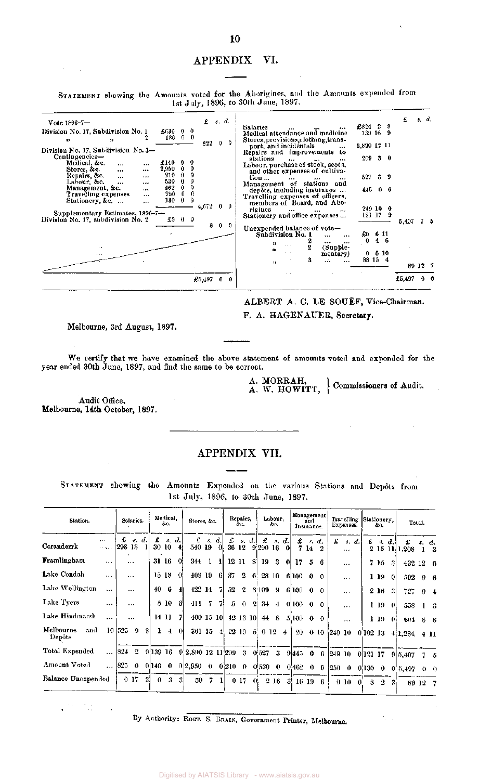#### APPENDIX VI.

STATEMEN T showing the Amounts voted for the Aborigines, and the Amounts expended from 1st July , 1896, to 30th June , 1897.

| $Vote 1896 - 7 -$                                                                               |        |                    | $f$ $s$ , $d$ . |                                                                                                         |                    |           |     | £       | s, d, |    |
|-------------------------------------------------------------------------------------------------|--------|--------------------|-----------------|---------------------------------------------------------------------------------------------------------|--------------------|-----------|-----|---------|-------|----|
| Division No. 17, Subdivision No. 1<br>$£636 \t0 \t0$                                            |        |                    |                 | Salaries<br>Medical attendance and medicine                                                             | £824 2<br>139 16 9 |           | - 9 |         |       |    |
| 186 0 0<br>$\bullet$<br>$\bullet$                                                               |        | 822                | Ω.              | Stores, provisions, clothing, trans-<br>port, and incidentals<br>$***$                                  | 2,890 12 11        |           |     |         |       |    |
| Division No. 17, Subdivision No. 3-<br>Contingencies-                                           |        |                    |                 | Repairs and improvements to                                                                             |                    |           |     |         |       |    |
| Medical, &c.<br>£140<br>$\cdots$<br><br>2,950 0<br>Stores, &c.<br>$\cdots$<br>$\cdots$          | 0      |                    |                 | stations<br>$\cdots$<br>$\cdots$<br>Labour, purchase of stock, seeds,<br>and other expenses of cultiva- | $209$ 3 0          |           |     |         |       |    |
| 210<br>$\mathbf{0}$<br>Repairs, &c.<br>$\ddotsc$<br><br>530<br>0<br>Labour, &c.<br>$\cdots$<br> | 0      |                    |                 | tion<br><br><br><br>Management of stations and                                                          | 527 3 9            |           |     |         |       |    |
| 462<br>0<br>Management, &c.<br>$\cdots$<br>250<br>0<br>Travelling expenses<br>$\cdots$          | 0<br>0 |                    |                 | depôts, including insurance<br>Travelling expenses of officers,                                         | 445 0 6            |           |     |         |       |    |
| $\theta$<br>130<br>Stationery, &c.<br>$\cdots$                                                  | - 0    | 4,672              |                 | members of Board, and Abo-<br>rigines<br>$\cdots$                                                       | 249100             |           |     |         |       |    |
| Supplementary Estimates, 1896-7-                                                                |        |                    |                 | $\cdots$<br>Stationery and office expenses                                                              | $121 \t17 \t9$     |           |     |         |       |    |
| Division No. 17, subdivision No. 2<br>£3 0 0                                                    |        |                    | 300             |                                                                                                         |                    |           |     | 5,407   |       | 75 |
|                                                                                                 |        |                    |                 | Unexpended balance of vote-<br>Subdivision No. 1<br>$\cdots$<br><br><br>$\cdots$                        | £0<br>0            | 611<br>46 |     |         |       |    |
| $\cdots$<br>$\alpha \sim 1$                                                                     |        |                    |                 | ,,<br>$\overline{2}$<br>(Supple-<br>32<br>mentary)                                                      |                    | 0, 5, 10  |     |         |       |    |
|                                                                                                 |        |                    |                 | 8<br><br>$\cdots$<br>98                                                                                 | 88 15 4            |           |     | 89 12 7 |       |    |
|                                                                                                 |        | $\pounds5,497$ 0 0 |                 |                                                                                                         |                    |           |     | £5,497  |       |    |

ALBERT A. C. LE SOUËF, Vice-Chairman.

F. A. HAGENAUER, Secretary.

Melbourne, 3rd August, 1897.

We certify that we have examined the above statement of amounts voted and expended for the year ended 30th June, 1897, and find the same to be correct.

A. MORRAH,<br>A. W. HOWITT, Commissioners of Audit.

Audit Office, Melbourne, 14th October, 1897.

### APPENDIX VII.

STATEMENT showing the Amounts Expended on the various Stations and Depôts from 1st July, 1896, to 30th June, 1897.

| Station.                   |                                  |               | Salaries.            |     |          | Medical.<br>&c.  |             | Stores, &c.                                                     |       |           |     | Repairs,<br>dи. |              |                       | Labour.<br>ŵс. |       |                   | and<br>Insurance. | Management                                |   | <b>Travelling</b><br>Expenses. |              | Stationery,              | &с.  |       |                                | Total.     |               |
|----------------------------|----------------------------------|---------------|----------------------|-----|----------|------------------|-------------|-----------------------------------------------------------------|-------|-----------|-----|-----------------|--------------|-----------------------|----------------|-------|-------------------|-------------------|-------------------------------------------|---|--------------------------------|--------------|--------------------------|------|-------|--------------------------------|------------|---------------|
| Coranderrk                 | $\ddotsc$<br>$\sim 100\,M_\odot$ | £<br> 298 13  | $\mathbf{g}_{\perp}$ | d.  | £        | 30 10            | s, d.<br>41 | £.<br>540 19                                                    | $s$ . | d.<br>-01 | £   |                 | s, d.        | £<br>36 12 9.290 16   |                | s. d. | £                 |                   | $s, d$ .<br>7 14 2                        | £ | $R_{\rm{c}}$<br>$1 + 1$        | $ d_1 $      | £                        |      | s, d. | £<br>2 15 11 1,208             |            | 13            |
| Framlingham                | $\cdots$                         |               | $\cdots$             |     |          | 31 16            | O.          | 344 1                                                           |       | 31        |     | 12 11           | -81          | 19                    | 3              | 01    | 17                | -5                | -6                                        |   |                                |              |                          | 7 15 | -31   | 432 12 6                       |            |               |
| Lake Condah                | $\cdots$                         |               | $\cdots$             |     |          | 15 <sub>18</sub> | -0!         | 408 19                                                          |       | -61       | 37  | 2               | 6.           |                       | 28 10          |       | 6 100             | $\mathbf{0}$      | - 0                                       |   | $\ddotsc$                      |              |                          | 1 19 | -OI   | $592 + 9 + 6$                  |            |               |
| Lake Wellington            | $\ddotsc$                        |               | $\cdots$             |     | 40       | - 6              | -41         | 422 14                                                          |       |           | 52. | $\mathbf{2}$    |              | 3:109                 | 9              |       | 6 100             |                   | $\begin{smallmatrix}0&0\end{smallmatrix}$ |   | $\sim$                         |              |                          | 2 16 | -3    | 727                            | 94         |               |
| Lake Tyers                 | $\cdots$                         |               | $\cdots$             |     |          | 5 IO             | -61         | $411 - 7$                                                       |       | -71       |     | $5\quad 0$      | $\mathbf{2}$ | $3+$                  |                |       | $4\,0\,100\,0\,0$ |                   |                                           |   | $\cdots$                       |              |                          | I 19 | - 01  | 558                            |            | $\frac{1}{3}$ |
| Lake Hindmarsh             | $\cdots$                         |               | $+ + +$              |     |          | 14 11 7          |             | 400 15 10                                                       |       |           |     | 42 13 10        |              |                       | 44 S           |       | $5 100 \t0 \t0$   |                   |                                           |   | $\cdots$                       |              |                          | 1196 |       | $604$ 8 8                      |            |               |
| Melbourne<br>and<br>Depôts |                                  | 10 525        | -9                   | -81 |          | 140              |             | 361 15                                                          |       | 4!        |     |                 |              | $22\ 19\ 5\ 0\ 12\ 4$ |                |       |                   |                   | 20 0 10                                   |   |                                |              |                          |      |       | [249 10 0 102 13 4 1, 284 4 11 |            |               |
| Total Expended             |                                  | $\ln 824 + 2$ |                      |     |          |                  |             | 9 139 16 9 2,890 12 11 209 3 0 527 3                            |       |           |     |                 |              |                       |                |       | $9 445 \t0 \t6$   |                   |                                           |   |                                |              | $ 249 \t10 \t0 121 \t17$ |      |       | 9 5,407                        |            | $7-5$         |
| Amount Voted               |                                  |               |                      |     |          |                  |             | 825 0 0 140 0 0 2,950 0 0 210 0 0 530 0 0 462 0 0 250 0 0 130 0 |       |           |     |                 |              |                       |                |       |                   |                   |                                           |   |                                |              |                          |      |       | 0'5,407                        |            | $0 \quad 0$   |
| Balance Unexpended         |                                  |               | 017                  | -31 | $\theta$ | 3                | 31          | 59                                                              | - 7   |           |     | 017             | 0.           |                       | 2/16           | -31   |                   |                   | 16196                                     |   | $0\,10$                        | $\mathbf{0}$ | 8.                       | 2    |       |                                | $8912 - 7$ |               |

 $\mathcal{O}^{\mathcal{O}}_{\mathcal{O}}$ 

By Authority: ROBT. S. BRAIN, Government Printer, Melbourne.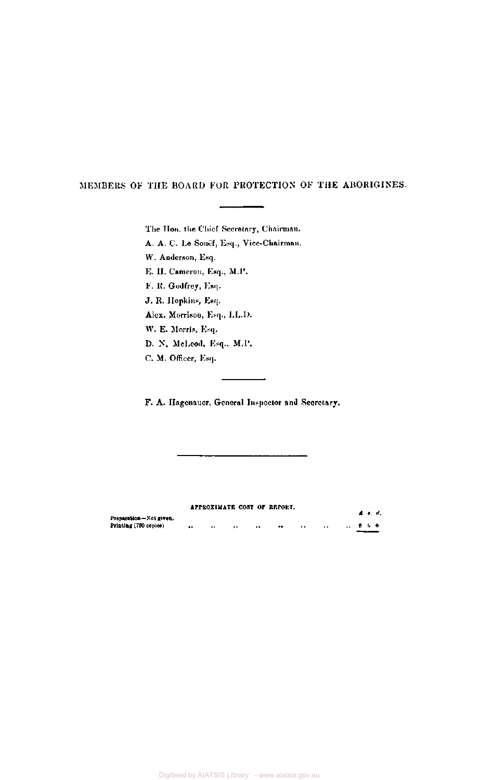#### MEMBERS OF THE BOARD FOR PROTECTION OF THE ABORIGINES.

The Hon. the Chief Secretary, Chairman.

A. A. C. Le Souef, Esq., Vice-Chairman.

W. Anderson, Esq.

E. H. Cameron, Esq., M.P.

F. R. Godfrey, Esq.

J. R. Hopkins, Esq.

Alex. Morrison, Esq., LL.D.

W. E. Morris, Esq.

D. N. McLeod, Esq.. M.P.

C. M. Officer, Esq.

F. A. Hagenauer, General Inspector and Secretary.

 $\sim$   $\sim$ 

 $\ddot{\phantom{a}}$ 

|                        |          |           |                      | APPROXIMATE COST OF REPORT. |              |                      |                                  | 4 J. J. |
|------------------------|----------|-----------|----------------------|-----------------------------|--------------|----------------------|----------------------------------|---------|
| Preparation-Not given. |          |           |                      |                             |              |                      |                                  |         |
| Printing (790 copies)  | $\cdots$ | $\bullet$ | $\ddot{\phantom{1}}$ | $\bullet\bullet$            | <br>$\cdots$ | $\ddot{\phantom{0}}$ | $\sqrt{3}$ $\sqrt{3}$ $\sqrt{6}$ |         |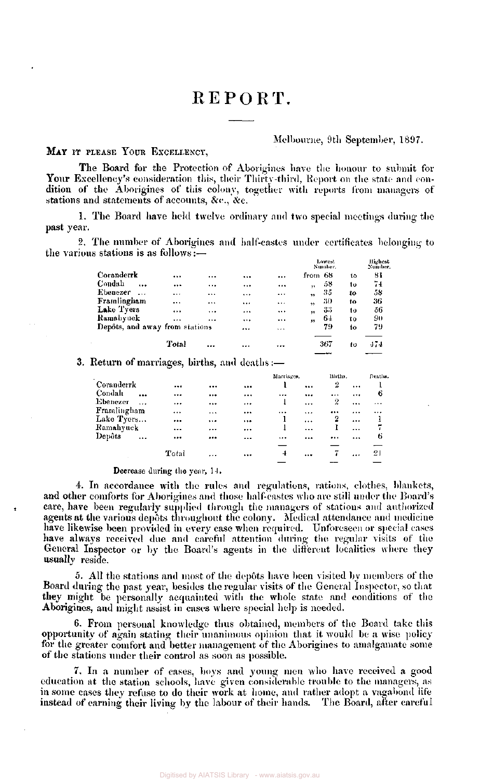# REPORT.

#### Melbourne, 9th September, 1897.

#### **MAY** IT PLEASE YOUR EXCELLENCY,

The Board for the Protection of Aborigines have the honour to submit for Your Excellency's consideration this, their Thirty-third, Report on the state and condition of the Aborigines of this colony, together with reports from managers of stations and statements of accounts, &c., &c.

1. The Board have held twelve ordinary and two special meetings during the past year.

2. The number of Aborigines and half-castes under certificates belonging to the various stations is as follows:—

|                                |       |          |          |       |                      | Lowest<br>Number, |     | -Highest<br>Number, |
|--------------------------------|-------|----------|----------|-------|----------------------|-------------------|-----|---------------------|
| Coranderrk                     |       | $\cdots$ |          |       | from 68              |                   | t٥  | 81                  |
| Condah<br>$\cdots$             |       |          |          |       | $\ddot{\phantom{1}}$ | 58                | tυ  | 74                  |
| Ebenezer                       |       |          |          |       | ,,                   | 35                | to  | 58                  |
| Framlingham                    |       |          |          |       | $\ddot{}$            | 30                | 10  | 36                  |
| Lake Tyers                     |       |          |          |       | $\ddot{\phantom{1}}$ | 33                | tο  | 56                  |
| Ramahyuck                      |       |          |          |       | ,,                   | 64                | to  | 90                  |
| Depôts, and away from stations |       |          |          | 1.1.1 |                      | 79                | to. | 79                  |
|                                | Total |          | $\cdots$ |       |                      | 367               | ŧο  | 474                 |

3. Return of marriages, births, and deaths

|             |                      |          |          |          | Marriages.   |          | Births. |          | Deaths.   |
|-------------|----------------------|----------|----------|----------|--------------|----------|---------|----------|-----------|
| Coranderrk  |                      | $\cdots$ |          |          |              |          | 2       | $\cdots$ |           |
| Condalı     | $\ddot{\phantom{a}}$ |          |          |          | $\cdots$     |          |         | $\cdots$ | 6         |
| Ebenezer    | $\cdots$             |          |          |          | ı            | $\cdots$ | 2       |          | $\ddotsc$ |
| Framlingham |                      |          |          |          |              | $\cdots$ |         |          |           |
| Lake Tyers  |                      |          | $\cdots$ | $\cdots$ |              | $\cdots$ | 2       |          | 1         |
| Ramahyuck   |                      |          |          |          |              |          |         |          | 7         |
| Depôts      | $\ddotsc$            |          |          | $\cdots$ | $\cdots$     |          |         |          | 6         |
|             |                      |          |          |          |              |          |         |          |           |
|             |                      | Total    | $\cdots$ |          | $\mathbf{1}$ |          |         |          | 21        |
|             |                      |          |          |          |              |          |         |          |           |

#### Decrease during the year, 14.

4. In accordance with the rules and regulations, rations, clothes, blankets, and other comforts for Aborigines and those half-castes who are still under the Board's care, have been regularly supplied through the managers of stations and authorized agents at the various depots throughout the colony. Medical attendance and medicine have likewise been provided in every case when required. Unforeseen or special cases have always received due and careful attention during the regular visits of the General Inspector or by the Board's agents in the different localities where they usually reside.

5. All the stations and most of the depots have been visited by members of the Board during the past year, besides the regular visits of the General Inspector, so that they might be personally acquainted with the whole state and conditions of the Aborigines, and might assist in cases where special help is needed.

6. From personal knowledge thus obtained, members of the Board take this opportunity of again stating their unanimous opinion that it would be a wise policy for the greater comfort and better management of the Aborigines to amalgamate some of the stations under their control as soon as possible.

7. In a number of cases, boys and young men who have received a good education at the station schools, have given considerable trouble to the managers, as in some cases they refuse to do their work at home, and rather adopt a vagabond life instead of earning their living by the labour of their hands. The Board, after careful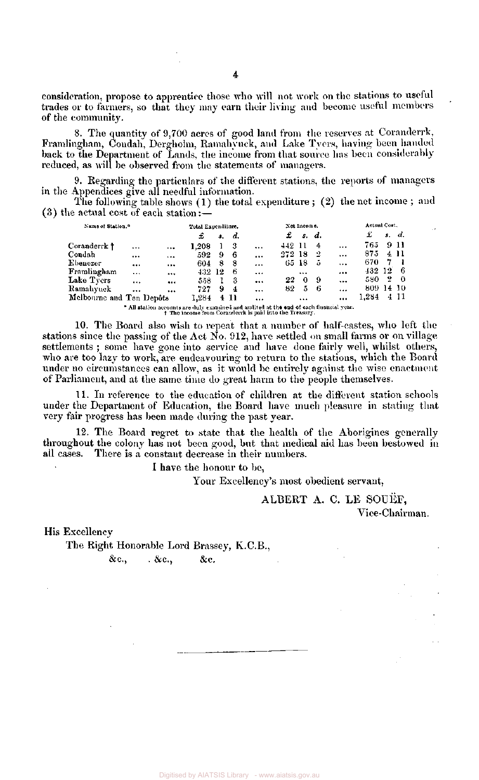consideration, propose to apprentice those who will not work on the stations to useful trades or to farmers, so that they may earn their living and become useful members of the community.

8. The quantity of 9,700 acres of good land from the reserves at Coranderrk, Framlingham, Condah, Dergholm, Ramahyuck, and Lake Tyers, having been handed back to the Department of Lands, the income from that source has been considerably reduced, as will be observed from the statements of managers.

9. Regarding the particulars of the different stations, the reports of managers in the Appendices give all needful information.

The following table shows (1) the total expenditure ; (2) the net income ; and  $(3)$  the actual cost of each station:  $\overline{\phantom{a}}$ 

|          |                                   |                                          |   |        |                                             |     | Actual Cost, |                           |                      |       |   |                     |
|----------|-----------------------------------|------------------------------------------|---|--------|---------------------------------------------|-----|--------------|---------------------------|----------------------|-------|---|---------------------|
|          |                                   | £                                        |   | d.     |                                             | £.  |              |                           |                      | £     |   | s. d.               |
| $\cdots$ | $\cdots$                          | 1.208                                    |   | - 3    |                                             |     |              | - 4                       | $\ddotsc$            | 765   |   | 9 11                |
|          | $\ddotsc$                         | 592                                      | 9 | -6     | $\cdots$                                    |     |              | -2                        | $\ddotsc$            | 875   |   | 411                 |
|          |                                   | 604                                      | 8 | -8     |                                             |     |              | 5                         | $\cdots$             | 670   | 7 |                     |
|          |                                   |                                          |   | -6     | $\cdots$                                    |     | $\cdots$     |                           |                      |       |   | - 6                 |
|          |                                   | 558                                      |   | -3     |                                             | 22  | 0            | -9                        | $\ddotsc$            | 580.  | 2 | - 0                 |
|          |                                   | 727                                      | 9 | -4     |                                             | 82. | 5            | -6                        |                      |       |   |                     |
|          |                                   | 1,284                                    |   |        |                                             |     |              |                           |                      | 1.284 |   | 4 11                |
|          | Name of Station. <sup>6</sup><br> | <br>$\cdots$<br>Melbourne and Ten Depôts |   | 432 12 | Total Expenditure,<br>$\mathbf{3.}$<br>4 11 |     |              | 442 11<br>272 18<br>65 18 | Net Income.<br>s. d. |       |   | 432 12<br>809 14 10 |

" All station accounts are duly examined and audited at **the end** of each financial year, The income from Coranderrk is paid into the Treasury.

10. The Board also wish to repeat that a number of half-castes, who left the stations since the passing of the Act No. 912, have settled on small farms or on village settlements ; some have gone into service and have done fairly well, whilst others, who are too lazy to work, are endeavouring to return to the stations, which the Board under no circumstances can allow, as it would be entirely against the wise enactment of Parliament, and at the same time do great harm to the people themselves.

11. In reference to the education of children at the different station schools under the Department of Education, the Board have much pleasure in stating that very fair progress has been made during the past year.

12. The Board regret to state that the health of the Aborigines generally throughout the colony has not been good, but that medical aid has been bestowed in all cases. There is a constant decrease in their numbers.

I have the honour to be,

Your Excellency's most obedient servant.

ALBERT A. C. LE SOUEF, Vice-Chairman.

His Excellency

The Right Honorable Lord Brassey, K.C.B.,

 $\&c., \qquad \&c., \qquad \&c.$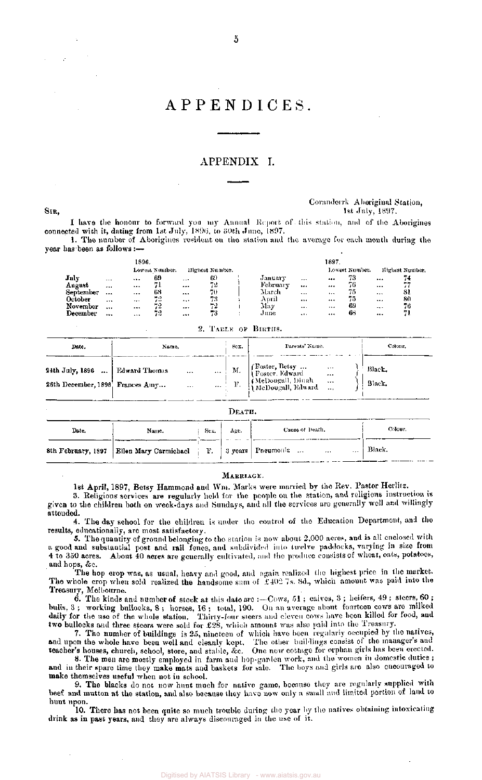### APPENDICES.

#### APPENDIX I.

#### Coranderrk Aboriginal Station,  $\text{Str},$  1897.

I have the honour to forward you my Annual Report of this station, and of the Aborigines connected with it, dating from 1st July, 1896, to 30th June, 1897.

I. The number of Aborigines resident on the station and the average for each month during the year has-been as follows :—

|                |          | 1896.    |                |          |                 |          |          | 1897 |                |                 |
|----------------|----------|----------|----------------|----------|-----------------|----------|----------|------|----------------|-----------------|
|                |          |          | Lowest Number. |          | Highest Number. |          |          |      | Lowest Number. | Highest Number. |
| July           | $\cdots$ |          | -69            | $\cdots$ | 69              | January  | $\cdots$ |      | 73             | <br>74          |
| August         | $\cdots$ |          |                |          | 72              | February |          |      | 76             | <br>--          |
| September      |          |          | 68             | $\cdots$ | 70              | March    | $\cdots$ |      | 75             | <br>-31         |
| <b>Dctober</b> | $\cdots$ | $\cdots$ | - 17<br>دە     |          | 73              | April    |          |      | 75             | <br>80          |
| November       |          | $\cdots$ | 72             |          | 72              | May      | $\cdots$ |      | -69            | <br>76          |
| December       |          |          | 72             |          | 73              | June     | $\cdots$ |      | -68            |                 |

|  | 2. TAELE OF BIRTHS. |  |  |  |
|--|---------------------|--|--|--|
|--|---------------------|--|--|--|

| Date.                                                                | Name.                                      | Sex. | Parents' Name. | Colour.          |
|----------------------------------------------------------------------|--------------------------------------------|------|----------------|------------------|
| 24th July, 1896    Edward Thomas<br>26th December, 1896. Frances Amy | $\mathbf{r}$ and $\mathbf{r}$<br>$\ddotsc$ |      |                | Black,<br>Black, |

|       |                                                                       |      | DEATH. |                 |         |
|-------|-----------------------------------------------------------------------|------|--------|-----------------|---------|
| Date. | Name.                                                                 | Sex. | Age.   | Cause of Death. | Colour. |
|       | 8th February, 1897   Ellen Mary Carmichael   F.   3 years   Pneumonia |      |        | $\cdots$<br>    | Black.  |

#### MARRIAGE.

1st April, 1897, Betsy Hammond and Win. Marks were married by the Rev. Pastor Herlitz.

3. Religious services are regularly held for the people on the station, and religious instruction is given to the children both on week-days and Sundays, and all the services are generally well and willingly attended.

4. The day school for the children is under the control of the Education Department, and the results, educationally, are most satisfactory.

5. The quantity of ground belonging to the station is now about 2,000 acres, and is all enclosed with a good and substantial post and rail fence, and subdivided into twelve paddocks, varying in size from 4 to 350 acres. About 40 acres are generally cultivated, and the produce consists of wheat, oats, potatoes, and hops, &c.

The hop crop was, as usual, heavy and good, and again realized the highest price in the market. The whole crop when sold realized the handsome sum of £402 7s, 8d., which amount was paid into the Treasury, Melbourne.

6. The kinds and number of stock at this date are :—Cows, 51 ; calves, 3 ; heifers, 49 ; steers, 60 ; bulls, 3 ; working bullocks, 8 ; horses, 16 ; total, 190. On an average about fourteen cows are milked daily for the use of the whole station. Thirty-four steers and eleven cows have been killed for food, and two bullocks and three steers were sold for  $£28$ , which amount was also paid into the Treasury.

7. The number of buildings is 25, nineteen of which have been regularly occupied by the natives, and upon the whole have been well and cleanly kept. The other buildings consist of the manager's and teacher's houses, church, school, store, and stable, &c. One new cottage for orphan girls has been erected.

8. The men are mostly employed in farm and hop-garden work, and the women in domestic duties ; and in their spare time they make mats and baskets for sale. The boys and girls are also encouraged to make themselves useful when not in school.

9. The blacks do not now hunt much for native game, because they are regularly supplied with beef and mutton at the station, and also because they have now only a small and limited portion of land to hunt upon.

10. There has not been quite so much trouble during the year by the natives obtaining intoxicating drink as in past years, and they are always discouraged in the use of it.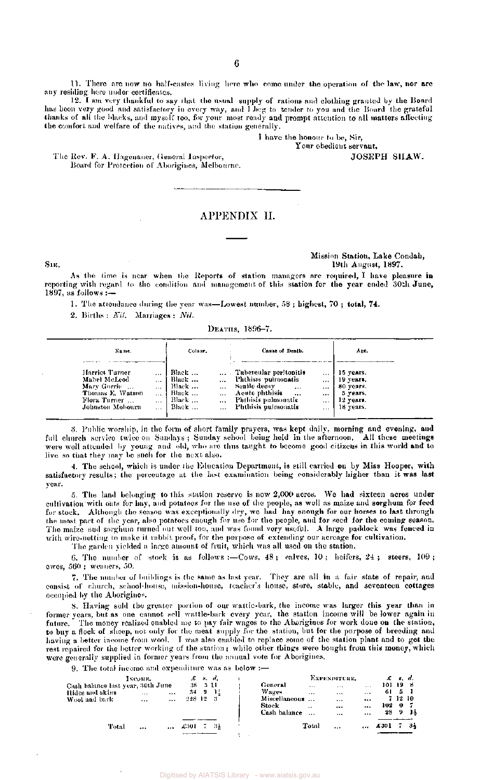11. There are now no half-castes living here who come under the operation of the law, nor are any residing here under certificates.

12. I am very thankful to say that the usual supply of rations and clothing granted by the Board has boon very good and satisfactory in every way, and I beg to tender to you and the Board the grateful thanks of all the blacks, and myself too, for your most ready and prompt attention to all matters affecting the comfort and welfare of the natives, and the station generally,

J have the honour to be, Sir,

Your obedient servant, JOSEPH SHAW.

The Rev. F. A. Hagenauer, General Inspector, Board for Protection of Aborigines, Melbourne.

#### APPENDIX II.

#### Mission Station, Lake Condah, Sir, 19th August, 1897.

As the time is near when the Reports of station managers are required, I have pleasure in reporting with regard to the condition and management of this station for the year ended 30th June, 1897, as follows :—

1. The attendance during the year was—Lowest number, 58 ; highest, 70 ; total, 74.

2. Births : Nil*.* Marriages : *Nil.* 

DEATHS, 1896-7.

| Name.                                                                                                 |                                                                                              | Colour.                                            |                                        | Cause of Death.                                                                                                                            |                                  | Age.                                                                      |
|-------------------------------------------------------------------------------------------------------|----------------------------------------------------------------------------------------------|----------------------------------------------------|----------------------------------------|--------------------------------------------------------------------------------------------------------------------------------------------|----------------------------------|---------------------------------------------------------------------------|
| Harriet Turner<br>Mabel McLeod<br>Mary Gorrie<br>Thomas E. Watson<br>Flora Turner<br>Johnston Mobourn | $\cdots$<br>$\ddot{\phantom{0}}$<br>$\ddot{\phantom{0}}$<br>$\cdots$<br>$\cdots$<br>$\cdots$ | Black<br>Black<br>Black<br>Black<br>Black<br>Black | $\cdots$<br>$\overline{a}$<br>$\cdots$ | Tubercular peritonitis<br>Phthisis pulmonatis<br>Senile decay<br>$***$<br>Acute phthisis<br><br>Phthisis pulmonatis<br>Phthisis pulmonatis | $\cdots$<br><br><br><br>$\cdots$ | 15 years.<br>19 years.<br>80 years.<br>5 years.<br>12 years.<br>18 years. |

*'6.* Public worship, in the form of short family prayers, was kept daily, morning and evening, and full church service twice on Sundays ; Sunday school being held in the afternoon. All these meetings were well attended by young and old, who are thus taught to become good citizens in this world and to live so that they may be such for the next also.

4. The school, which is under the Education Department, is still carried on by Miss Hooper, with satisfactory results; the percentage at the last examination being considerably higher than it was last year.

5. The land belonging to this station reserve is now 2,000 acres. We had sixteen acres under cultivation with oats for hay, and potatoes for the use of the people, as well as maize and sorghum for feed for stock. Although the season was exceptionally dry, we had hay enough for our horses to last through the most part of the year, also potatoes enough for use for the people, and for seed for the coming season. The maize and sorghum turned out well too, and was found very useful. A large paddock was fenced in with wire-netting to make it rabbit proof, for the purpose of extending our acreage for cultivation.

The garden Yielded a large amount of fruit, which was all used on the station.

6. The number of stock is as follows :—Cows, 48 ; calves, 10 ; heifers, 24 ; steers,  $109$  ; ewes, 560 ; weaners, 50.

7. The number of buildings is the same as last year. They are all in a fair state of repair, and consist of church, school-house, mission-house, teacher's house, store, stable, and seventeen cottages occupied by the Aborigines.

8. Having sold the greater portion of our wattle-bark, the income was larger this year than in former years, but as one cannot sell wattle-bark every year, the station income will be lower again in future. The money realized enabled me to pay fair wages to the Aborigines for work done on the station, to buy a flock of sheep, not only for the meat supply for the station, but for the purpose of breeding and having a better income from wool. I was also enabled to replace some of the station plant and to get the rest repaired for the better working of the station; while other things were bought from this money, which were generally supplied in former years from the annual vote for Aborigines.

9. The total income and expenditure was as below :—

|                 | Total                             |          | $\cdots$ | £301    |    | -34          |         |               | Total     |              | $\cdots$ | £301   |         | -34 |
|-----------------|-----------------------------------|----------|----------|---------|----|--------------|---------|---------------|-----------|--------------|----------|--------|---------|-----|
|                 |                                   |          |          |         |    |              |         | Cash balance  | $\cdots$  | $\cdots$     |          | 28     | -9      | -14 |
|                 |                                   |          |          |         |    |              | Stock   |               | $\cdot$   | $\cdots$     |          | 102.   |         |     |
| Wool and bark-  |                                   |          | $\cdots$ | 228 12  |    | - 3          |         | Miscellaneous |           | $\cdots$     |          |        | 7 12 10 |     |
| Hides and skirs |                                   | $\cdots$ |          | 34.     | J. | -15          | Wages   |               |           | $\cdots$     | $\cdots$ | 61     | -5      |     |
|                 | Cash balance last year, 30th June |          |          | 38 5 11 |    |              | General |               | $\ddotsc$ | $\cdots$     | $\cdots$ | 101 19 |         | జి  |
|                 |                                   | INCOME.  |          |         |    | $E \times d$ |         |               |           | EXPENDITURE. |          |        | £ 8. d. |     |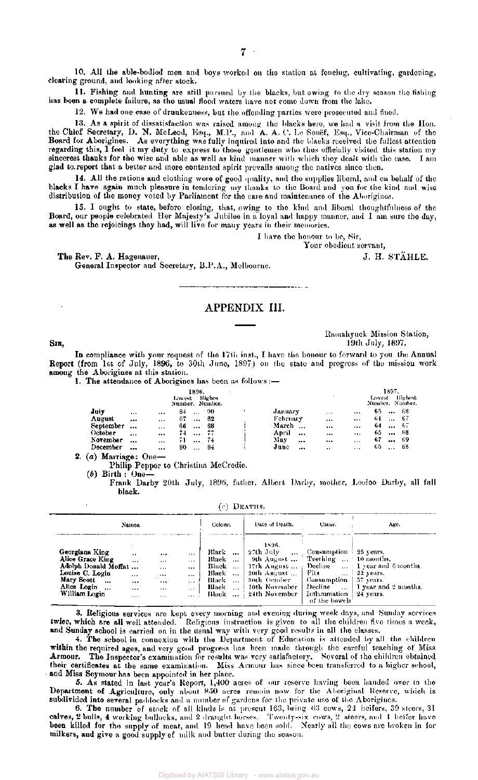11. Fishing and hunting are still pursued by the blacks, but owing to the dry season the fishing has been a complete failure, as the usual flood waters have not come down from the lake.

12. We had one case of drunkenness, but the offending parties were prosecuted and fined.

13. As a spirit of dissatisfaction was raised among the blacks here, we had a visit from the Hon. the Chief Secretary, D. N. McLeod, Esq., M.P., and A. A. C. Le Souef, Esq., Vice-Chairman of the Board for Aborigines. As everything was fully inquired into and the blacks received the fullest attention regarding this, 1 feel it my duty to express to those gentlemen who thus officially visited this station my sincerest thanks for the wise and able as well as kind manner with which they dealt with the case. I am glad to. report that a better and more contented spirit prevails among the natives since then.

14. All the rations and clothing were of good quality, and the supplies liberal, and on behalf of the blacks I have again much pleasure in tendering my thanks to the Board and you for the kind and wise distribution of the money voted by Parliament for the care and maintenance of the Aborigines.

15. I ought to state, before closing, that, owing to the kind and liberal thoughtfulness of the Board, our people celebrated Her Majesty's Jubilee in a loyal and happy manner, and 1 am sure the day, as well as the rejoicings they had, will live for many years in their memories.

I have the honour to be, Sir,

Your obedient servant,

The Rev. F. A. Hagenauer, The Rev. F. A. Hagenauer, T. H. STAHLE. General Inspector and Secretary, B.P.A., Melbourne.

#### APPENDIX III.

SIR,

Ramahyuck Mission Station, 19th July, 1897.

In compliance with your request of the 17th inst., I have the honour to forward to you the Annual Report (from 1st of July, 1896, to 30th June, 1897) on the statu and progress of the mission work among the Aborigines at this station.

1. The attendance of Aborigines has been as follows:—

|                      |          |          | Lowest | 1896.        | Highes<br>Number. Number. |                   |           |          | 1897.<br><b>Highest</b><br>Lowest<br>Number, Number, |
|----------------------|----------|----------|--------|--------------|---------------------------|-------------------|-----------|----------|------------------------------------------------------|
| July                 | $\cdots$ |          | 84     | $\cdots$     | -90                       | January           | $\cdots$  | $\cdots$ | 65.<br>-68<br>$\cdots$                               |
| August               | $\cdots$ | $\cdots$ | 67     | $\mathbf{a}$ | -82                       | February          |           | $\cdots$ | ti f<br>-67<br>$\cdots$                              |
| September            | $\cdots$ | $\cdots$ | 66     | $\cdots$     | 68                        | March<br>$\cdots$ |           |          | -67<br>64<br>$\cdots$                                |
| October              | $\cdots$ |          | 74.    | $\cdots$     | 77                        | April<br>         |           |          | 65.<br>-68<br>$\cdots$                               |
| November             |          | $\cdots$ | 71     | $\cdots$     | - 74                      | Mav<br>$\cdots$   |           | $\cdots$ | 67<br>-69<br>$\cdots$                                |
| December             | $\cdots$ | $\cdots$ | 80     |              | -84                       | June<br>          | $\cdot$ . | 1.1.1    | 65<br>68<br>$\ldots$                                 |
| .<br>$\cdot$ $\cdot$ | $\sim$   |          |        |              |                           |                   |           |          |                                                      |

2. (a) Marriage: One— Philip Pepper to Christina McCredie.

 $(b)$  Birth : One-

Frank Darby 20th July, 1896, father, Albert Darby, mother, Looloo Darby, all full black.

 $(c)$  Deaths.

|                                                                                                                                         | Names.                                                |                                       |                                                                          | Colour.                                                                            | Date of Death.                                                                                                                                                     | <b>Cause.</b>                                                                                                                                 | Age.                                                                            |  |  |
|-----------------------------------------------------------------------------------------------------------------------------------------|-------------------------------------------------------|---------------------------------------|--------------------------------------------------------------------------|------------------------------------------------------------------------------------|--------------------------------------------------------------------------------------------------------------------------------------------------------------------|-----------------------------------------------------------------------------------------------------------------------------------------------|---------------------------------------------------------------------------------|--|--|
| Georgiana King<br>Alice Grace King<br>Adolph Donald Moffat<br>Louise C. Login<br>Mary Scott<br>$\cdots$<br>Alice Login<br>William Login | $\bullet$<br>$\cdots$<br>$\cdots$<br><br><br>$\cdots$ | <br>1.11<br>.<br><br><br><br>$\cdots$ | $\cdots$<br>$\cdots$<br><br>$\cdots$<br>$\cdots$<br>$\cdots$<br>$\cdots$ | Black<br>$\cdots$<br>Black<br>Black<br>Black<br>Black<br>$\cdots$<br>Black<br>Huck | 1896.<br>-27th July<br>$\cdots$<br>oth August  Teething  10 months.<br>$17th$ August  Decline<br>-20th August<br>-30th October<br>– 10th November<br>24th November | Consumption $\frac{1}{25}$ years,<br>Fits<br>$\cdots$<br>  Consumption  <br>Decline<br>$\cdots$<br>Inflammation : 24 years.<br>of the bowels' | $\ldots$ 1 year and 6 months.<br>22 уеата.<br>57 years.<br>I year and 2 months. |  |  |

3. Religious services are kept every morning and evening during week days, and Sunday services twice, which are all well attended. Religious instruction is given to all the children five times a week, and Sunday school is carried on in the usual way with very good results in all the classes.

4. The school in connexion with the Department of Education is attended by all the children within the required ages, and very good progress has been made through the careful teaching of Miss Armour. The Inspector's examination for results was very satisfactory. Several of the children obtained their certificates at the same examination. Miss Armour has since been transferred to a higher school, and Miss Seymour has been appointed in her place.

5. As stated in last year's Report, 1,400 acres of our reserve having been handed over to the Department of Agriculture, only about 850 acres remain now for the Aboriginal Reserve, which is subdivided into several paddocks and a number of gardens for the private use of the Aborigines.

6. The number of stock of all kinds is at present 163, being 63 cows, 21 heifers, 39 steers, 31 calves, 2 bulls, 4 working bullocks, and 2 draught horses. Twenty-six cows, 2 steers, and 1 heifer have been killed for the supply of meat, and 19 head have been sold. Nearly all the cows arc broken in for milkers, and give a good supply of milk and butter during the season.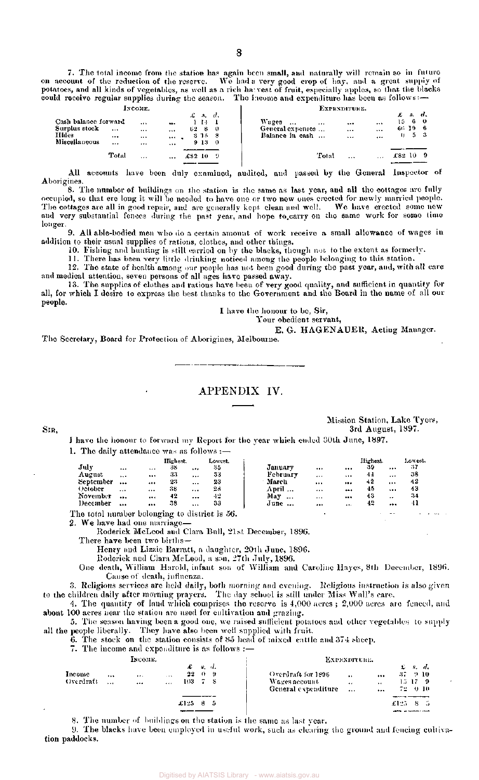7. The total income from the station has again been small, and naturally will remain so in future on account of the reduction of the reserve. We had a very good crop of  $\overline{\mathrm{hav}}$ , and a great supply of potatoes, and all kinds of vegetables, as well as a rich harvest of fruit, especially apples, so that the blacks could receive regular supplies during the season. The income and expenditure has been as follows:—

|                                                                 |            | INCOME.                              |                                     |                                                         |                  | EXPENDITURE.                                             |       |                                  |                          |                       |    |  |  |
|-----------------------------------------------------------------|------------|--------------------------------------|-------------------------------------|---------------------------------------------------------|------------------|----------------------------------------------------------|-------|----------------------------------|--------------------------|-----------------------|----|--|--|
| Cash balance forward<br>Surplus stock<br>Hides<br>Miscellaneous | <br>$$<br> | <br>$\cdots$<br>$\cdots$<br>$\cdots$ | $\bullet\bullet\bullet$<br><br><br> | $\pounds$ $\kappa$<br>114<br>62<br>8<br>\$ 15 \$<br>913 | -4.<br>-0<br>- 0 | Wages<br>$\cdots$<br>General expenses<br>Balance in cash |       | $\cdots$<br>$\cdots$<br>$\cdots$ | <br>$\cdots$<br>$\cdots$ | 1560<br>66 19 6<br>0. | 53 |  |  |
|                                                                 | Total      | $\cdots$                             |                                     | £82 10                                                  | - 9              |                                                          | Total | $\cdots$                         | $\cdots$                 | 182 IO                |    |  |  |

All accounts have been duly examined, audited, and passed by the General Inspector of Aborigines.

8. The number of buildings on the station is the same as last year, and all the cottages are fully occupied, so that ere long it will be needed to have one or two new ones crected for newly married people. The cottages are all in good repair, and are generally kept clean and well. We have crected some new and very substantial fences during the past year, and hope to carry on the same work for some time longer.

9. All able-bodied men who do a certain amount of work receive a small allowance of wages in addition to their usual supplies of rations, clothes, and other things.

10. Fishing and hunting is still carried on by the blacks, though not, to the extent as formerly.

11. There has been very little drinking noticed among the people belonging to this station.

12. The state of health among our people has not been good during the past year, and, with all care and medical attention, seven persons of all ages have passed away.

13. The supplies of clothes and rations have been of very good quality, and sufficient in quantity for all, for which I desire to express the best thanks to the Government and the Board in the name of all our people.

I have the honour to be, Sir,

Your obedient servant,

E. G. HAGENAUER, Acting Manager.

The Secretary, Board for Protection of Aborigines, Melbourne.

#### APPENDIX IV.

Mission Station, Lake Tyers, SIR, 3rd August, 1897.

I have the honour to forward my Report for the year which ended 30th June, 1897.

|  |  |  | 1. The daily attendance was as follows :- |  |  |
|--|--|--|-------------------------------------------|--|--|
|--|--|--|-------------------------------------------|--|--|

|           |          |          | Highest. |          | Lowest. |                 |          |          | Highest. |           | Lowest. |
|-----------|----------|----------|----------|----------|---------|-----------------|----------|----------|----------|-----------|---------|
| July      | $\cdots$ | $\cdots$ | 33       |          | 35      | January         |          | $\cdots$ | -39      |           | -37     |
| August    | $\cdots$ |          | 33       | $\cdots$ | 33      | February        | $\cdots$ |          | 44       |           | 38      |
| September | $\cdots$ |          | 23       | $\cdots$ | 23      | March           | $\cdots$ |          | 42       |           | 42      |
| October   | $-1$     |          | 38       |          | 23      | April           |          |          | 45       | $\cdots$  | 43      |
| November  |          |          | 42       |          | 42      | May<br>$\cdots$ |          |          | 43       | $\cdot$ . | -34     |
| December  |          |          | 38       | $\cdots$ | 33      | June            |          | $\cdots$ | 42       |           | 41      |

The total number belonging to district is 56.

2. We have had one marriage—

Roderick McLeod and Clara Bull, 21st December, 1896.

There have been two births-

Henry and Lizzie Barratt, a daughter, 20th June, 1896.

Roderick and Clara McLeod, a son, 27th July, 1896.

One death, William Harold, infant son of William and Caroline Hayes, 8th December, 1896. Cause of death, influenza.

3. Religious services are held daily, both morning and evening. Religious instruction is also given to the children daily after morning prayers. The day school is still under Miss Wall's care.

4. The quantity of land which comprises the reserve is  $4{,}000$  acres ;  $2{,}000$  acres are fenced, and about 100 acres near the station are used for cultivation and grazing.

5. The season having been a good one, we raised sufficient potatoes and other vegetables to supply all the people liberally. They have also been well supplied with fruit.

6. The stock on the station consists of 85 head of mixed cattle and 374 sheep.

7. The income and expenditure is as follows :—

|                      |             | Інсоме.      |                      |                         |                                |   | Ехрехотски.                                                                                                                                                                                           |
|----------------------|-------------|--------------|----------------------|-------------------------|--------------------------------|---|-------------------------------------------------------------------------------------------------------------------------------------------------------------------------------------------------------|
| Income-<br>Overdraft | <br>$+ + +$ | $\cdots$<br> | $-$ 6. 6.<br>$+ + +$ | $22 -$<br>$103 - 7 - S$ | $\mathcal{L}$ s.d.<br>$\theta$ | 9 | $\mathcal{L}$ $s$ , $d$ ,<br>Overdraft for 1896<br>$37 - 9 - 10$<br><br>$\mathbf{r}$<br>Wages account<br>-9<br>$\ddot{\phantom{0}}$<br>$\mathbf{H}$<br>General expenditure<br>72 O IO<br>$\cdots$<br> |
|                      |             |              |                      | $4.125 - 8$             |                                |   | $£125 - 8 = 5$                                                                                                                                                                                        |

8. The number of buildings on the station is the same as last year.

9. The blacks have been employed in useful work, such as clearing the ground and fencing cultivation paddocks.